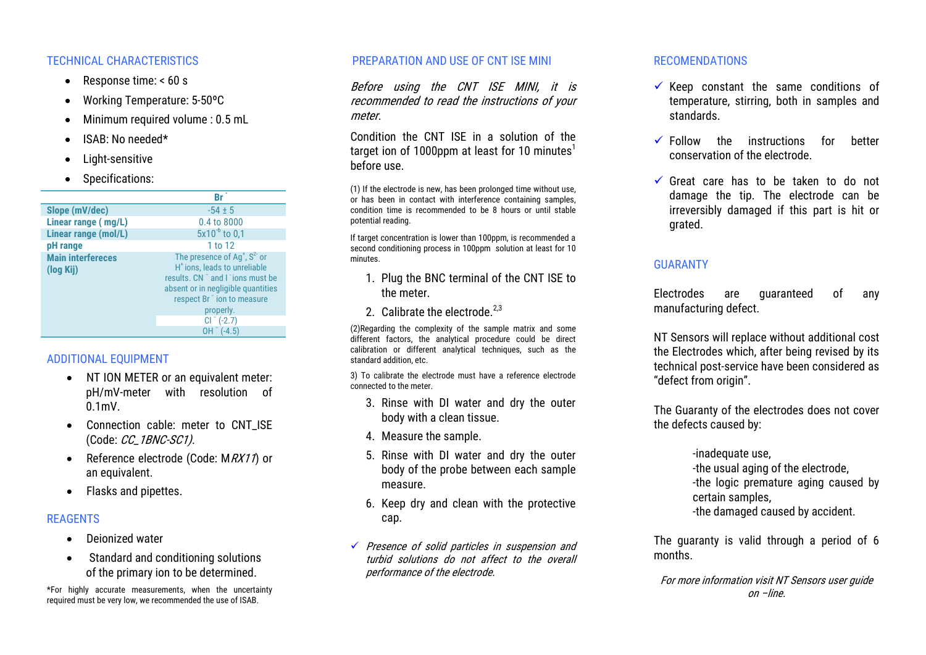#### TECHNICAL CHARACTERISTICS

- Response time:  $< 60 s$
- Working Temperature: 5-50ºC
- Minimum required volume : 0.5 mL
- ISAB: No needed\*
- Light-sensitive
- Specifications:

|                          | Br                                       |
|--------------------------|------------------------------------------|
| Slope (mV/dec)           | $-54 \pm 5$                              |
| Linear range (mg/L)      | 0.4 to 8000                              |
| Linear range (mol/L)     | $5x10^{-6}$ to 0.1                       |
| pH range                 | 1 to 12                                  |
| <b>Main interfereces</b> | The presence of $Ag+, S2-$ or            |
| (log Kij)                | H <sup>+</sup> ions, leads to unreliable |
|                          | results, CN and Lions must be            |
|                          | absent or in negligible quantities       |
|                          | respect Br <sup>-</sup> ion to measure   |
|                          | properly.                                |
|                          | $Cl^{-}$ (-2.7)                          |
|                          | (-4.5<br>OΗ                              |

# ADDITIONAL EQUIPMENT

- NT ION METER or an equivalent meter: pH/mV-meter with resolution of 0.1mV.
- Connection cable: meter to CNT ISE (Code: CC\_1BNC-SC1).
- Reference electrode (Code:  $MRX11$ ) or an equivalent.
- Flasks and pipettes.

## **REAGENTS**

- **•** Deionized water
- Standard and conditioning solutions of the primary ion to be determined.

\*For highly accurate measurements, when the uncertainty required must be very low, we recommended the use of ISAB.

#### PREPARATION AND USE OF CNT ISE MINI

Before using the CNT ISE MINI, it is recommended to read the instructions of your meter.

Condition the CNT ISE in a solution of the target ion of 1000ppm at least for 10 minutes<sup>1</sup> before use.

(1) If the electrode is new, has been prolonged time without use, or has been in contact with interference containing samples, condition time is recommended to be 8 hours or until stable potential reading.

If target concentration is lower than 100ppm, is recommended a second conditioning process in 100ppm solution at least for 10 minutes.

- 1. Plug the BNC terminal of the CNT ISE to the meter.
- 2. Calibrate the electrode. $2,3$

(2)Regarding the complexity of the sample matrix and some different factors, the analytical procedure could be direct calibration or different analytical techniques, such as the standard addition, etc.

3) To calibrate the electrode must have a reference electrode connected to the meter.

- 3. Rinse with DI water and dry the outer body with a clean tissue.
- 4. Measure the sample.
- 5. Rinse with DI water and dry the outer body of the probe between each sample measure.
- 6. Keep dry and clean with the protective cap.
- Presence of solid particles in suspension and turbid solutions do not affect to the overall performance of the electrode.

#### RECOMENDATIONS

- $\checkmark$  Keep constant the same conditions of temperature, stirring, both in samples and standards.
- $\checkmark$  Follow the instructions for better conservation of the electrode.
- $\checkmark$  Great care has to be taken to do not damage the tip. The electrode can be irreversibly damaged if this part is hit or grated.

# **GUARANTY**

Electrodes are guaranteed of any manufacturing defect.

NT Sensors will replace without additional cost the Electrodes which, after being revised by its technical post-service have been considered as "defect from origin".

The Guaranty of the electrodes does not cover the defects caused by:

> -inadequate use, -the usual aging of the electrode, -the logic premature aging caused by certain samples, -the damaged caused by accident.

The guaranty is valid through a period of 6 months.

For more information visit NT Sensors user guide on –line.